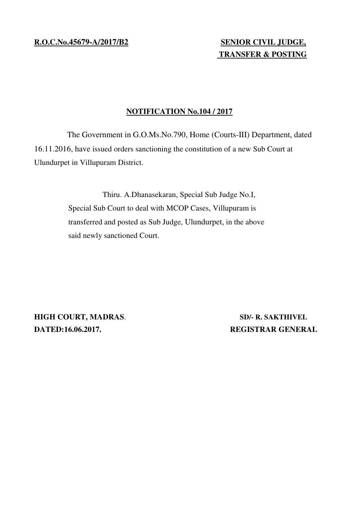**R.O.C.No.45679-A/2017/B2 SENIOR CIVIL JUDGE,**

## **TRANSFER & POSTING**

## **NOTIFICATION No.104 / 2017**

The Government in G.O.Ms.No.790, Home (Courts-III) Department, dated 16.11.2016, have issued orders sanctioning the constitution of a new Sub Court at Ulundurpet in Villupuram District.

> Thiru. A.Dhanasekaran, Special Sub Judge No.I, Special Sub Court to deal with MCOP Cases, Villupuram is transferred and posted as Sub Judge, Ulundurpet, in the above said newly sanctioned Court.

**HIGH COURT, MADRAS**. **SD/- R. SAKTHIVEL DATED:16.06.2017.** REGISTRAR GENERAL